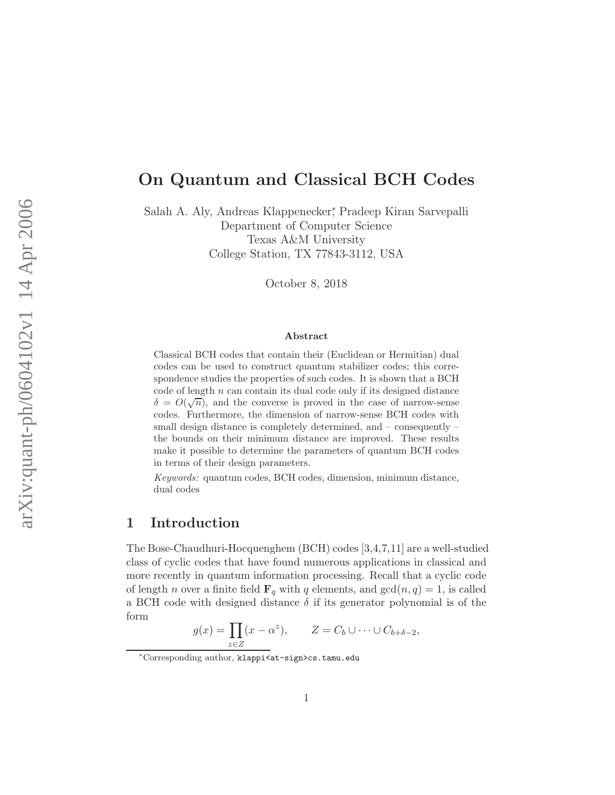# On Quantum and Classical BCH Codes

Salah A. Aly, Andreas Klappenecker<sup>∗</sup> , Pradeep Kiran Sarvepalli Department of Computer Science Texas A&M University College Station, TX 77843-3112, USA

October 8, 2018

#### Abstract

Classical BCH codes that contain their (Euclidean or Hermitian) dual codes can be used to construct quantum stabilizer codes; this correspondence studies the properties of such codes. It is shown that a BCH code of length  $n$  can contain its dual code only if its designed distance  $\delta = O(\sqrt{n})$ , and the converse is proved in the case of narrow-sense codes. Furthermore, the dimension of narrow-sense BCH codes with small design distance is completely determined, and – consequently – the bounds on their minimum distance are improved. These results make it possible to determine the parameters of quantum BCH codes in terms of their design parameters.

Keywords: quantum codes, BCH codes, dimension, minimum distance, dual codes

### 1 Introduction

The Bose-Chaudhuri-Hocquenghem (BCH) codes [3,4,7,11] are a well-studied class of cyclic codes that have found numerous applications in classical and more recently in quantum information processing. Recall that a cyclic code of length *n* over a finite field  $\mathbf{F}_q$  with q elements, and  $gcd(n, q) = 1$ , is called a BCH code with designed distance  $\delta$  if its generator polynomial is of the form

$$
g(x) = \prod_{z \in Z} (x - \alpha^z), \qquad Z = C_b \cup \dots \cup C_{b + \delta - 2},
$$

<sup>∗</sup>Corresponding author, klappi<at-sign>cs.tamu.edu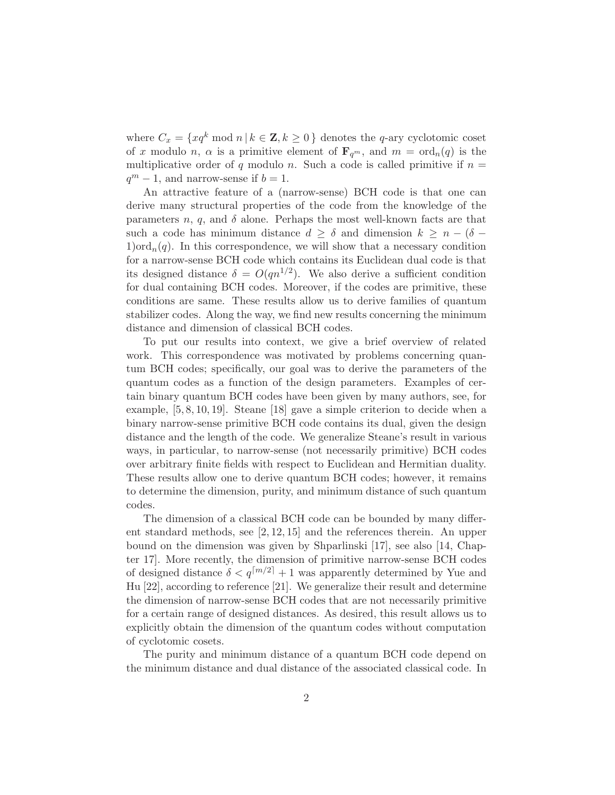where  $C_x = \{xq^k \bmod n \mid k \in \mathbb{Z}, k \geq 0\}$  denotes the q-ary cyclotomic coset of x modulo n,  $\alpha$  is a primitive element of  $\mathbf{F}_{q^m}$ , and  $m = \text{ord}_n(q)$  is the multiplicative order of q modulo n. Such a code is called primitive if  $n =$  $q^m - 1$ , and narrow-sense if  $b = 1$ .

An attractive feature of a (narrow-sense) BCH code is that one can derive many structural properties of the code from the knowledge of the parameters n, q, and  $\delta$  alone. Perhaps the most well-known facts are that such a code has minimum distance  $d \geq \delta$  and dimension  $k \geq n - (\delta 1)$ ord $_n(q)$ . In this correspondence, we will show that a necessary condition for a narrow-sense BCH code which contains its Euclidean dual code is that its designed distance  $\delta = O(qn^{1/2})$ . We also derive a sufficient condition for dual containing BCH codes. Moreover, if the codes are primitive, these conditions are same. These results allow us to derive families of quantum stabilizer codes. Along the way, we find new results concerning the minimum distance and dimension of classical BCH codes.

To put our results into context, we give a brief overview of related work. This correspondence was motivated by problems concerning quantum BCH codes; specifically, our goal was to derive the parameters of the quantum codes as a function of the design parameters. Examples of certain binary quantum BCH codes have been given by many authors, see, for example, [5, 8, 10, 19]. Steane [18] gave a simple criterion to decide when a binary narrow-sense primitive BCH code contains its dual, given the design distance and the length of the code. We generalize Steane's result in various ways, in particular, to narrow-sense (not necessarily primitive) BCH codes over arbitrary finite fields with respect to Euclidean and Hermitian duality. These results allow one to derive quantum BCH codes; however, it remains to determine the dimension, purity, and minimum distance of such quantum codes.

The dimension of a classical BCH code can be bounded by many different standard methods, see  $[2, 12, 15]$  and the references therein. An upper bound on the dimension was given by Shparlinski [17], see also [14, Chapter 17]. More recently, the dimension of primitive narrow-sense BCH codes of designed distance  $\delta < q^{[m/2]} + 1$  was apparently determined by Yue and Hu [22], according to reference [21]. We generalize their result and determine the dimension of narrow-sense BCH codes that are not necessarily primitive for a certain range of designed distances. As desired, this result allows us to explicitly obtain the dimension of the quantum codes without computation of cyclotomic cosets.

The purity and minimum distance of a quantum BCH code depend on the minimum distance and dual distance of the associated classical code. In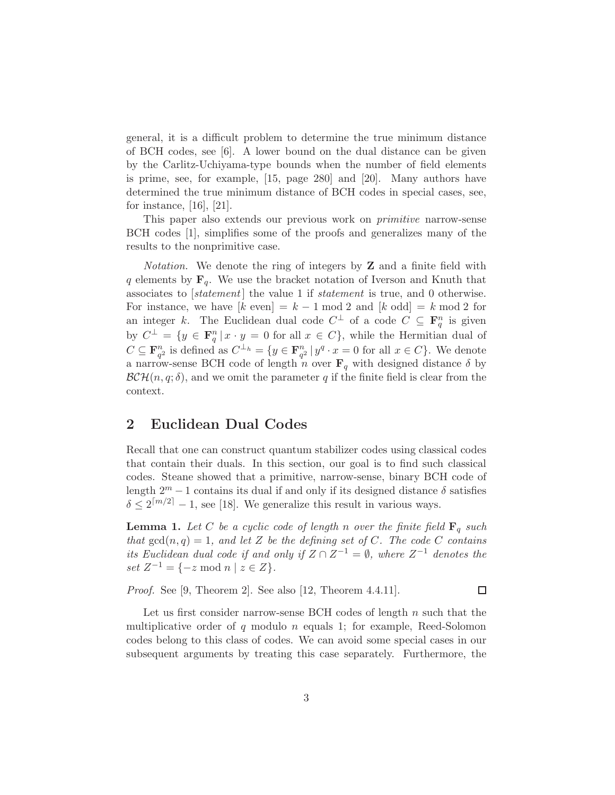general, it is a difficult problem to determine the true minimum distance of BCH codes, see [6]. A lower bound on the dual distance can be given by the Carlitz-Uchiyama-type bounds when the number of field elements is prime, see, for example, [15, page 280] and [20]. Many authors have determined the true minimum distance of BCH codes in special cases, see, for instance, [16], [21].

This paper also extends our previous work on primitive narrow-sense BCH codes [1], simplifies some of the proofs and generalizes many of the results to the nonprimitive case.

*Notation*. We denote the ring of integers by  $Z$  and a finite field with q elements by  $\mathbf{F}_q$ . We use the bracket notation of Iverson and Knuth that associates to  $[statement]$  the value 1 if *statement* is true, and 0 otherwise. For instance, we have  $[k \text{ even}] = k - 1 \text{ mod } 2$  and  $[k \text{ odd}] = k \text{ mod } 2$  for an integer k. The Euclidean dual code  $C^{\perp}$  of a code  $C \subseteq \mathbf{F}_q^n$  is given by  $C^{\perp} = \{y \in \mathbf{F}_q^n | x \cdot y = 0 \text{ for all } x \in C\}$ , while the Hermitian dual of  $C \subseteq \mathbf{F}_{q^2}^n$  is defined as  $C^{\perp_h} = \{y \in \mathbf{F}_{q^2}^n | y^q \cdot x = 0 \text{ for all } x \in C\}$ . We denote a narrow-sense BCH code of length n over  $\mathbf{F}_q$  with designed distance  $\delta$  by  $\mathcal{BCH}(n, q; \delta)$ , and we omit the parameter q if the finite field is clear from the context.

#### 2 Euclidean Dual Codes

Recall that one can construct quantum stabilizer codes using classical codes that contain their duals. In this section, our goal is to find such classical codes. Steane showed that a primitive, narrow-sense, binary BCH code of length  $2^m - 1$  contains its dual if and only if its designed distance  $\delta$  satisfies  $\delta \leq 2^{\lceil m/2 \rceil} - 1$ , see [18]. We generalize this result in various ways.

**Lemma 1.** Let C be a cyclic code of length n over the finite field  $\mathbf{F}_q$  such that  $gcd(n, q) = 1$ , and let Z be the defining set of C. The code C contains its Euclidean dual code if and only if  $Z \cap Z^{-1} = \emptyset$ , where  $Z^{-1}$  denotes the set  $Z^{-1} = \{-z \mod n \mid z \in Z\}.$ 

Proof. See [9, Theorem 2]. See also [12, Theorem 4.4.11].

 $\Box$ 

Let us first consider narrow-sense BCH codes of length  $n$  such that the multiplicative order of q modulo n equals 1; for example, Reed-Solomon codes belong to this class of codes. We can avoid some special cases in our subsequent arguments by treating this case separately. Furthermore, the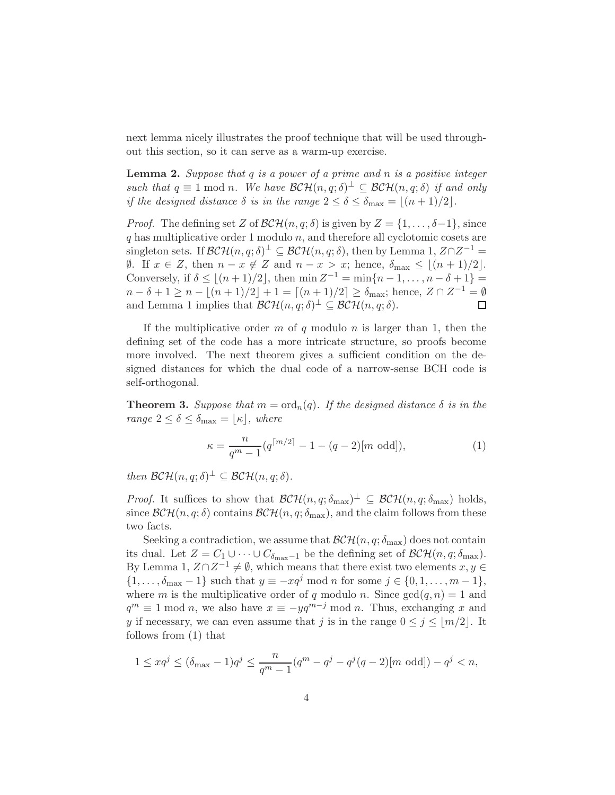next lemma nicely illustrates the proof technique that will be used throughout this section, so it can serve as a warm-up exercise.

**Lemma 2.** Suppose that  $q$  is a power of a prime and  $n$  is a positive integer such that  $q \equiv 1 \mod n$ . We have  $\mathcal{BCH}(n, q; \delta)^{\perp} \subseteq \mathcal{BCH}(n, q; \delta)$  if and only if the designed distance  $\delta$  is in the range  $2 \leq \delta \leq \delta_{\max} = |(n+1)/2|$ .

*Proof.* The defining set Z of  $\mathcal{BCH}(n, q; \delta)$  is given by  $Z = \{1, \ldots, \delta-1\}$ , since  $q$  has multiplicative order 1 modulo  $n$ , and therefore all cyclotomic cosets are singleton sets. If  $\mathcal{BCH}(n, q; \delta)^{\perp} \subseteq \mathcal{BCH}(n, q; \delta)$ , then by Lemma 1,  $Z \cap Z^{-1} =$  $\emptyset$ . If  $x \in Z$ , then  $n - x \notin Z$  and  $n - x > x$ ; hence,  $\delta_{\max} \leq |(n + 1)/2|$ . Conversely, if  $\delta \leq \lfloor (n+1)/2 \rfloor$ , then  $\min Z^{-1} = \min \{ n-1, \ldots, n-\delta+1 \} =$  $n - \delta + 1 \ge n - \lfloor (n+1)/2 \rfloor + 1 = \lceil (n+1)/2 \rceil \ge \delta_{\text{max}};$  hence,  $Z \cap Z^{-1} = \emptyset$ and Lemma 1 implies that  $\mathcal{BCH}(n, q; \delta)^{\perp} \subseteq \mathcal{BCH}(n, q; \delta)$ .

If the multiplicative order  $m$  of  $q$  modulo  $n$  is larger than 1, then the defining set of the code has a more intricate structure, so proofs become more involved. The next theorem gives a sufficient condition on the designed distances for which the dual code of a narrow-sense BCH code is self-orthogonal.

**Theorem 3.** Suppose that  $m = \text{ord}_n(q)$ . If the designed distance  $\delta$  is in the range  $2 \leq \delta \leq \delta_{\max} = \lfloor \kappa \rfloor$ , where

$$
\kappa = \frac{n}{q^m - 1} (q^{\lceil m/2 \rceil} - 1 - (q - 2)[m \text{ odd}]),\tag{1}
$$

then  $\mathcal{BCH}(n,q;\delta)^{\perp} \subseteq \mathcal{BCH}(n,q;\delta)$ .

*Proof.* It suffices to show that  $\mathcal{BCH}(n, q; \delta_{\max})^{\perp} \subseteq \mathcal{BCH}(n, q; \delta_{\max})$  holds, since  $\mathcal{BCH}(n, q; \delta)$  contains  $\mathcal{BCH}(n, q; \delta_{\text{max}})$ , and the claim follows from these two facts.

Seeking a contradiction, we assume that  $\mathcal{BCH}(n, q; \delta_{\text{max}})$  does not contain its dual. Let  $Z = C_1 \cup \cdots \cup C_{\delta_{\text{max}}-1}$  be the defining set of  $\mathcal{BCH}(n, q; \delta_{\text{max}})$ . By Lemma 1,  $Z \cap Z^{-1} \neq \emptyset$ , which means that there exist two elements  $x, y \in$  $\{1,\ldots,\delta_{\max}-1\}$  such that  $y \equiv -xq^j \mod n$  for some  $j \in \{0,1,\ldots,m-1\},$ where m is the multiplicative order of q modulo n. Since  $gcd(q, n) = 1$  and  $q^m \equiv 1 \mod n$ , we also have  $x \equiv -yq^{m-j} \mod n$ . Thus, exchanging x and y if necessary, we can even assume that j is in the range  $0 \le j \le \lfloor m/2 \rfloor$ . It follows from (1) that

$$
1 \le xq^j \le (\delta_{\max} - 1)q^j \le \frac{n}{q^m - 1}(q^m - q^j - q^j(q - 2)[m \text{ odd}]) - q^j < n,
$$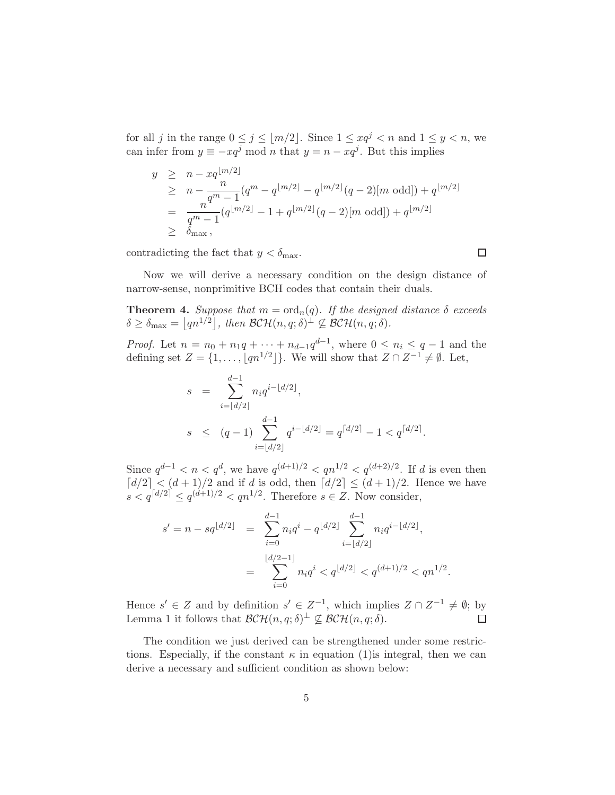for all j in the range  $0 \le j \le |m/2|$ . Since  $1 \le xq^j < n$  and  $1 \le y < n$ , we can infer from  $y \equiv -xq^j \mod n$  that  $y = n - xq^j$ . But this implies

$$
y \geq n - xq^{\lfloor m/2 \rfloor}
$$
  
\n
$$
\geq n - \frac{n}{q^m - 1} (q^m - q^{\lfloor m/2 \rfloor} - q^{\lfloor m/2 \rfloor} (q - 2) [m \text{ odd}]) + q^{\lfloor m/2 \rfloor}
$$
  
\n
$$
= \frac{n}{q^m - 1} (q^{\lfloor m/2 \rfloor} - 1 + q^{\lfloor m/2 \rfloor} (q - 2) [m \text{ odd}]) + q^{\lfloor m/2 \rfloor}
$$
  
\n
$$
\geq \delta_{\text{max}},
$$

contradicting the fact that  $y < \delta_{\text{max}}$ .

Now we will derive a necessary condition on the design distance of narrow-sense, nonprimitive BCH codes that contain their duals.

 $\Box$ 

**Theorem 4.** Suppose that  $m = \text{ord}_n(q)$ . If the designed distance  $\delta$  exceeds  $\delta \geq \delta_{\max} = \left[ qn^{1/2} \right], \text{ then } \mathcal{BCH}(n,q;\delta)^{\perp} \nsubseteq \mathcal{BCH}(n,q;\delta).$ 

*Proof.* Let  $n = n_0 + n_1q + \cdots + n_{d-1}q^{d-1}$ , where  $0 \leq n_i \leq q-1$  and the defining set  $Z = \{1, \ldots, \lfloor qn^{1/2} \rfloor\}$ . We will show that  $Z \cap Z^{-1} \neq \emptyset$ . Let,

$$
s = \sum_{i=\lfloor d/2 \rfloor}^{d-1} n_i q^{i-\lfloor d/2 \rfloor},
$$
  
\n
$$
s \le (q-1) \sum_{i=\lfloor d/2 \rfloor}^{d-1} q^{i-\lfloor d/2 \rfloor} = q^{\lceil d/2 \rceil} - 1 < q^{\lceil d/2 \rceil}.
$$

Since  $q^{d-1} < n < q^d$ , we have  $q^{(d+1)/2} < q^{n^{1/2}} < q^{(d+2)/2}$ . If d is even then  $\lceil d/2 \rceil < (d+1)/2$  and if d is odd, then  $\lceil d/2 \rceil \le (d+1)/2$ . Hence we have  $s < q^{\lceil d/2 \rceil} \le q^{(d+1)/2} < qn^{1/2}$ . Therefore  $s \in \mathbb{Z}$ . Now consider,

$$
s' = n - sq^{\lfloor d/2 \rfloor} = \sum_{i=0}^{d-1} n_i q^i - q^{\lfloor d/2 \rfloor} \sum_{i=\lfloor d/2 \rfloor}^{d-1} n_i q^{i - \lfloor d/2 \rfloor},
$$
  
= 
$$
\sum_{i=0}^{\lfloor d/2 - 1 \rfloor} n_i q^i < q^{\lfloor d/2 \rfloor} < q^{(d+1)/2} < q n^{1/2}.
$$

Hence  $s' \in Z$  and by definition  $s' \in Z^{-1}$ , which implies  $Z \cap Z^{-1} \neq \emptyset$ ; by Lemma 1 it follows that  $\mathcal{BCH}(n,q;\delta)^{\perp} \nsubseteq \mathcal{BCH}(n,q;\delta)$ .

The condition we just derived can be strengthened under some restrictions. Especially, if the constant  $\kappa$  in equation (1) is integral, then we can derive a necessary and sufficient condition as shown below: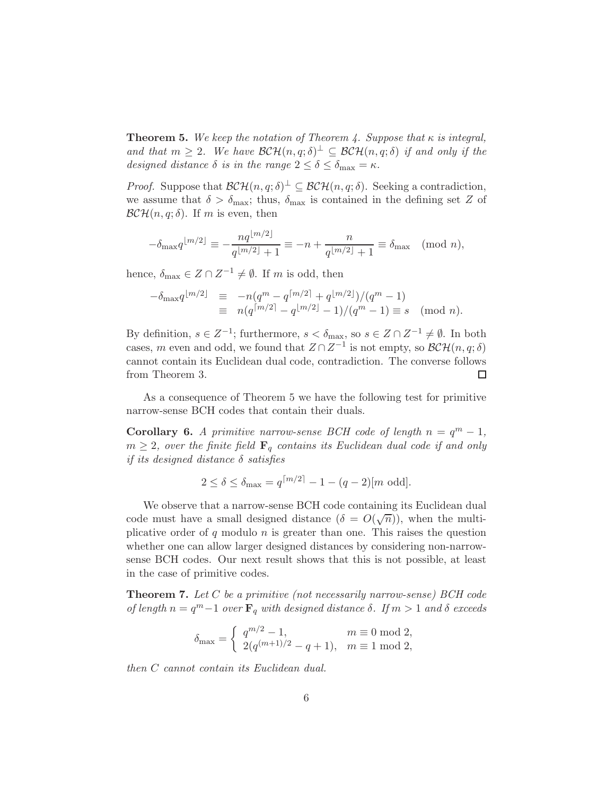**Theorem 5.** We keep the notation of Theorem 4. Suppose that  $\kappa$  is integral, and that  $m \geq 2$ . We have  $\mathcal{BCH}(n,q;\delta)^{\perp} \subseteq \mathcal{BCH}(n,q;\delta)$  if and only if the designed distance  $\delta$  is in the range  $2 \leq \delta \leq \delta_{\max} = \kappa$ .

*Proof.* Suppose that  $\mathcal{BCH}(n, q; \delta)^{\perp} \subseteq \mathcal{BCH}(n, q; \delta)$ . Seeking a contradiction, we assume that  $\delta > \delta_{\text{max}}$ ; thus,  $\delta_{\text{max}}$  is contained in the defining set Z of  $\mathcal{BCH}(n, q; \delta)$ . If m is even, then

$$
-\delta_{\max} q^{\lfloor m/2 \rfloor} \equiv -\frac{nq^{\lfloor m/2 \rfloor}}{q^{\lfloor m/2 \rfloor} + 1} \equiv -n + \frac{n}{q^{\lfloor m/2 \rfloor} + 1} \equiv \delta_{\max} \pmod{n},
$$

hence,  $\delta_{\max} \in Z \cap Z^{-1} \neq \emptyset$ . If m is odd, then

$$
-\delta_{\max} q^{\lfloor m/2 \rfloor} \equiv -n(q^m - q^{\lceil m/2 \rceil} + q^{\lfloor m/2 \rfloor})/(q^m - 1)
$$
  

$$
\equiv n(q^{\lceil m/2 \rceil} - q^{\lfloor m/2 \rfloor} - 1)/(q^m - 1) \equiv s \pmod{n}.
$$

By definition,  $s \in Z^{-1}$ ; furthermore,  $s < \delta_{\max}$ , so  $s \in Z \cap Z^{-1} \neq \emptyset$ . In both cases, m even and odd, we found that  $Z \cap Z^{-1}$  is not empty, so  $\mathcal{BCH}(n, q; \delta)$ cannot contain its Euclidean dual code, contradiction. The converse follows from Theorem 3. □

As a consequence of Theorem 5 we have the following test for primitive narrow-sense BCH codes that contain their duals.

**Corollary 6.** A primitive narrow-sense BCH code of length  $n = q^m - 1$ ,  $m \geq 2$ , over the finite field  $\mathbf{F}_q$  contains its Euclidean dual code if and only if its designed distance  $\delta$  satisfies

$$
2 \le \delta \le \delta_{\max} = q^{\lceil m/2 \rceil} - 1 - (q - 2)[m \text{ odd}].
$$

We observe that a narrow-sense BCH code containing its Euclidean dual code must have a small designed distance  $(\delta = O(\sqrt{n}))$ , when the multiplicative order of q modulo n is greater than one. This raises the question whether one can allow larger designed distances by considering non-narrowsense BCH codes. Our next result shows that this is not possible, at least in the case of primitive codes.

**Theorem 7.** Let  $C$  be a primitive (not necessarily narrow-sense) BCH code of length  $n = q^m - 1$  over  $\mathbf{F}_q$  with designed distance  $\delta$ . If  $m > 1$  and  $\delta$  exceeds

$$
\delta_{\max} = \begin{cases} q^{m/2} - 1, & m \equiv 0 \mod 2, \\ 2(q^{(m+1)/2} - q + 1), & m \equiv 1 \mod 2, \end{cases}
$$

then C cannot contain its Euclidean dual.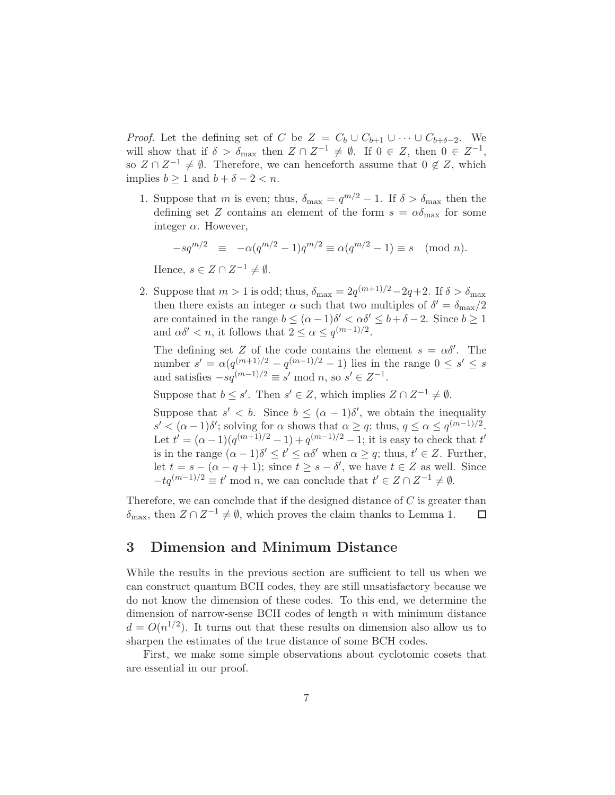*Proof.* Let the defining set of C be  $Z = C_b \cup C_{b+1} \cup \cdots \cup C_{b+\delta-2}$ . We will show that if  $\delta > \delta_{\max}$  then  $Z \cap Z^{-1} \neq \emptyset$ . If  $0 \in Z$ , then  $0 \in Z^{-1}$ , so  $Z \cap Z^{-1} \neq \emptyset$ . Therefore, we can henceforth assume that  $0 \notin Z$ , which implies  $b \ge 1$  and  $b + \delta - 2 < n$ .

1. Suppose that m is even; thus,  $\delta_{\text{max}} = q^{m/2} - 1$ . If  $\delta > \delta_{\text{max}}$  then the defining set Z contains an element of the form  $s = \alpha \delta_{\text{max}}$  for some integer  $\alpha$ . However,

$$
-sq^{m/2} \equiv -\alpha(q^{m/2} - 1)q^{m/2} \equiv \alpha(q^{m/2} - 1) \equiv s \pmod{n}.
$$

Hence,  $s \in Z \cap Z^{-1} \neq \emptyset$ .

2. Suppose that  $m > 1$  is odd; thus,  $\delta_{\text{max}} = 2q^{(m+1)/2} - 2q + 2$ . If  $\delta > \delta_{\text{max}}$ then there exists an integer  $\alpha$  such that two multiples of  $\delta' = \delta_{\max}/2$ are contained in the range  $b \leq (\alpha - 1)\delta' < \alpha \delta' \leq b + \delta - 2$ . Since  $b \geq 1$ and  $\alpha \delta' < n$ , it follows that  $2 \leq \alpha \leq q^{(m-1)/2}$ .

The defining set Z of the code contains the element  $s = \alpha \delta'$ . The number  $s' = \alpha(q^{(m+1)/2} - q^{(m-1)/2} - 1)$  lies in the range  $0 \le s' \le s$ and satisfies  $-sq^{(m-1)/2} \equiv s' \mod n$ , so  $s' \in Z^{-1}$ .

Suppose that  $b \leq s'$ . Then  $s' \in Z$ , which implies  $Z \cap Z^{-1} \neq \emptyset$ .

Suppose that  $s' < b$ . Since  $b \leq (\alpha - 1)\delta'$ , we obtain the inequality  $s' < (\alpha - 1)\delta'$ ; solving for  $\alpha$  shows that  $\alpha \geq q$ ; thus,  $q \leq \alpha \leq q^{(m-1)/2}$ . Let  $t' = (\alpha - 1)(q^{(m+1)/2} - 1) + q^{(m-1)/2} - 1$ ; it is easy to check that  $t'$ is in the range  $(\alpha - 1)\delta' \le t' \le \alpha \delta'$  when  $\alpha \ge q$ ; thus,  $t' \in Z$ . Further, let  $t = s - (\alpha - q + 1)$ ; since  $t \geq s - \delta'$ , we have  $t \in Z$  as well. Since  $-tq^{(m-1)/2} \equiv t' \mod n$ , we can conclude that  $t' \in Z \cap Z^{-1} \neq \emptyset$ .

Therefore, we can conclude that if the designed distance of  $C$  is greater than  $\delta_{\text{max}}$ , then  $Z \cap Z^{-1} \neq \emptyset$ , which proves the claim thanks to Lemma 1. □

#### 3 Dimension and Minimum Distance

While the results in the previous section are sufficient to tell us when we can construct quantum BCH codes, they are still unsatisfactory because we do not know the dimension of these codes. To this end, we determine the dimension of narrow-sense BCH codes of length  $n$  with minimum distance  $d = O(n^{1/2})$ . It turns out that these results on dimension also allow us to sharpen the estimates of the true distance of some BCH codes.

First, we make some simple observations about cyclotomic cosets that are essential in our proof.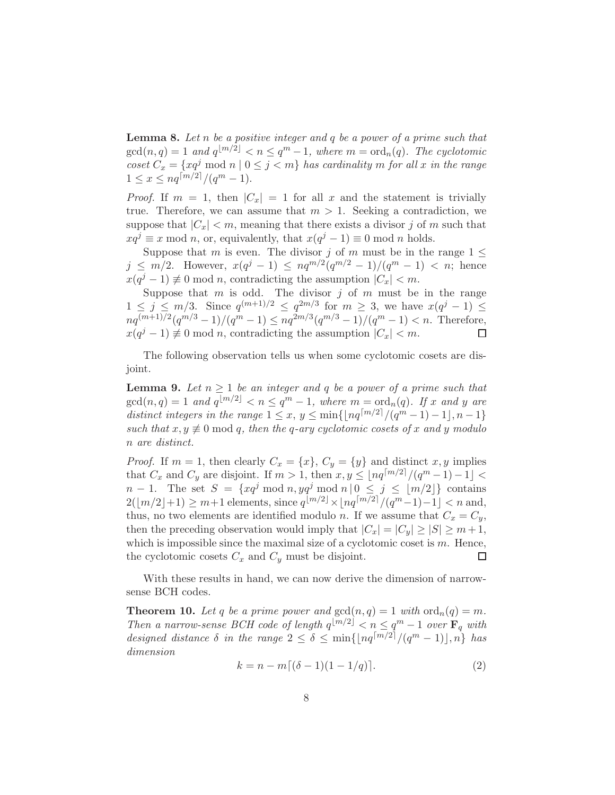**Lemma 8.** Let n be a positive integer and  $q$  be a power of a prime such that  $gcd(n, q) = 1$  and  $q^{\lfloor m/2 \rfloor} < n \leq q^m - 1$ , where  $m = ord_n(q)$ . The cyclotomic coset  $C_x = \{xq^j \bmod n \mid 0 \leq j < m\}$  has cardinality m for all x in the range  $1 \leq x \leq nq^{\lceil m/2 \rceil}/(q^m-1).$ 

*Proof.* If  $m = 1$ , then  $|C_x| = 1$  for all x and the statement is trivially true. Therefore, we can assume that  $m > 1$ . Seeking a contradiction, we suppose that  $|C_x| < m$ , meaning that there exists a divisor j of m such that  $xq^{j} \equiv x \mod n$ , or, equivalently, that  $x(q^{j} - 1) \equiv 0 \mod n$  holds.

Suppose that m is even. The divisor j of m must be in the range  $1 \leq$  $j \leq m/2$ . However,  $x(q^j - 1) \leq nq^{m/2}(q^{m/2} - 1)/(q^m - 1) < n$ ; hence  $x(q^{j}-1) \not\equiv 0 \mod n$ , contradicting the assumption  $|C_x| < m$ .

Suppose that  $m$  is odd. The divisor  $j$  of  $m$  must be in the range  $1 \leq j \leq m/3$ . Since  $q^{(m+1)/2} \leq q^{2m/3}$  for  $m \geq 3$ , we have  $x(q^j-1) \leq$  $nq^{(m+1)/2}(q^{m/3}-1)/(q^m-1) \leq nq^{2m/3}(q^{m/3}-1)/(q^m-1) < n$ . Therefore,  $x(q^{j} - 1) \not\equiv 0 \mod n$ , contradicting the assumption  $|C_x| < m$ .

The following observation tells us when some cyclotomic cosets are disjoint.

**Lemma 9.** Let  $n \geq 1$  be an integer and q be a power of a prime such that  $gcd(n,q) = 1$  and  $q^{\lfloor m/2 \rfloor} < n \leq q^m - 1$ , where  $m = ord_n(q)$ . If x and y are distinct integers in the range  $1 \le x, y \le \min\{\lfloor nq^{\lceil m/2 \rceil}/(q^m-1)-1 \rfloor, n-1\}$ such that  $x, y \neq 0 \mod q$ , then the q-ary cyclotomic cosets of x and y modulo n are distinct.

*Proof.* If  $m = 1$ , then clearly  $C_x = \{x\}$ ,  $C_y = \{y\}$  and distinct  $x, y$  implies that  $C_x$  and  $C_y$  are disjoint. If  $m > 1$ , then  $x, y \leq \lfloor nq^{\lceil m/2 \rceil}/(q^m - 1) - 1 \rfloor <$  $n-1$ . The set  $S = \{xq^j \bmod n, yq^j \bmod n \mid 0 \leq j \leq \lfloor m/2 \rfloor\}$  contains  $2(\lfloor m/2 \rfloor + 1) \ge m+1$  elements, since  $q^{\lfloor m/2 \rfloor} \times \lfloor nq^{\lceil m/2 \rceil} / (q^m - 1) - 1 \rfloor < n$  and, thus, no two elements are identified modulo n. If we assume that  $C_x = C_y$ , then the preceding observation would imply that  $|C_x| = |C_y| \ge |S| \ge m+1$ , which is impossible since the maximal size of a cyclotomic coset is  $m$ . Hence, the cyclotomic cosets  $C_x$  and  $C_y$  must be disjoint.  $\Box$ 

With these results in hand, we can now derive the dimension of narrowsense BCH codes.

**Theorem 10.** Let q be a prime power and  $gcd(n, q) = 1$  with  $ord_n(q) = m$ . Then a narrow-sense BCH code of length  $q^{m/2} < n \leq q^m - 1$  over  $\mathbf{F}_q$  with designed distance  $\delta$  in the range  $2 \leq \delta \leq \min\{\lfloor nq^{\lceil m/2 \rceil}/(q^m-1) \rfloor, n\}$  has dimension

$$
k = n - m[(\delta - 1)(1 - 1/q)].
$$
\n(2)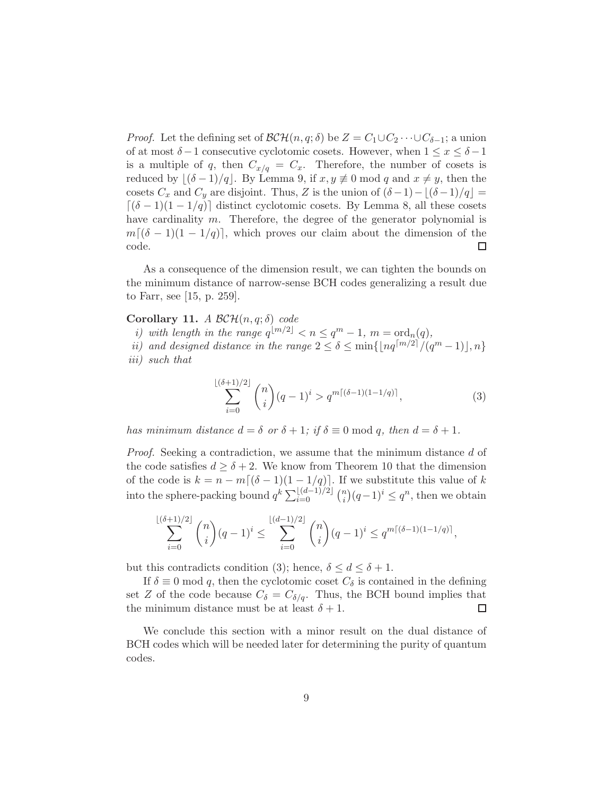*Proof.* Let the defining set of  $\mathcal{BCH}(n, q; \delta)$  be  $Z = C_1 \cup C_2 \cdots \cup C_{\delta-1}$ ; a union of at most  $\delta-1$  consecutive cyclotomic cosets. However, when  $1 \leq x \leq \delta-1$ is a multiple of q, then  $C_{x/q} = C_x$ . Therefore, the number of cosets is reduced by  $\lfloor (\delta - 1)/q \rfloor$ . By Lemma 9, if  $x, y \neq 0 \text{ mod } q$  and  $x \neq y$ , then the cosets  $C_x$  and  $C_y$  are disjoint. Thus, Z is the union of  $(\delta-1)-[(\delta-1)/q]=$  $[(\delta - 1)(1 - 1/q)]$  distinct cyclotomic cosets. By Lemma 8, all these cosets have cardinality m. Therefore, the degree of the generator polynomial is  $m[(\delta - 1)(1 - 1/q)]$ , which proves our claim about the dimension of the code. code.

As a consequence of the dimension result, we can tighten the bounds on the minimum distance of narrow-sense BCH codes generalizing a result due to Farr, see [15, p. 259].

#### Corollary 11. A  $\mathcal{BCH}(n,q;\delta)$  code

- i) with length in the range  $q^{\lfloor m/2 \rfloor} < n \leq q^m 1$ ,  $m = \text{ord}_n(q)$ ,
- ii) and designed distance in the range  $2 \leq \delta \leq \min\{\lfloor nq^{\lceil m/2 \rceil}/(q^m-1)\rfloor, n\}$ iii) such that

$$
\sum_{i=0}^{\lfloor (\delta+1)/2 \rfloor} \binom{n}{i} (q-1)^i > q^{m\lceil (\delta-1)(1-1/q) \rceil},\tag{3}
$$

has minimum distance  $d = \delta$  or  $\delta + 1$ ; if  $\delta \equiv 0 \mod q$ , then  $d = \delta + 1$ .

Proof. Seeking a contradiction, we assume that the minimum distance d of the code satisfies  $d \geq \delta + 2$ . We know from Theorem 10 that the dimension of the code is  $k = n - m[(\delta - 1)(1 - 1/q)]$ . If we substitute this value of k into the sphere-packing bound  $q^k \sum_{i=0}^{\lfloor (d-1)/2 \rfloor} \binom{n}{i}$  $\binom{n}{i}(q-1)^i \leq q^n$ , then we obtain

$$
\sum_{i=0}^{\lfloor (\delta+1)/2 \rfloor} \binom{n}{i} (q-1)^i \le \sum_{i=0}^{\lfloor (d-1)/2 \rfloor} \binom{n}{i} (q-1)^i \le q^{m\lceil (\delta-1)(1-1/q) \rceil},
$$

but this contradicts condition (3); hence,  $\delta \leq d \leq \delta + 1$ .

If  $\delta \equiv 0 \mod q$ , then the cyclotomic coset  $C_{\delta}$  is contained in the defining set Z of the code because  $C_{\delta} = C_{\delta/q}$ . Thus, the BCH bound implies that the minimum distance must be at least  $\delta + 1$ .  $\Box$ 

We conclude this section with a minor result on the dual distance of BCH codes which will be needed later for determining the purity of quantum codes.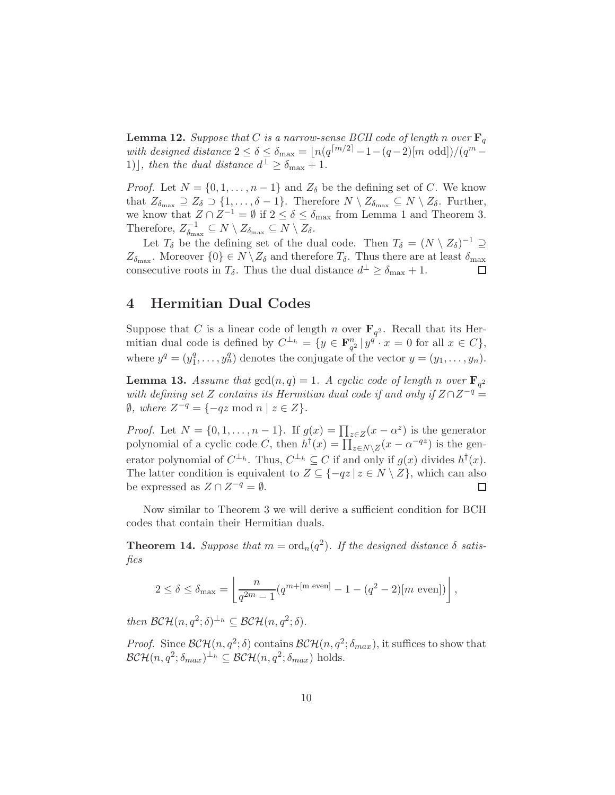**Lemma 12.** Suppose that C is a narrow-sense BCH code of length n over  $\mathbf{F}_q$ with designed distance  $2 \le \delta \le \delta_{\max} = \lfloor n(q^{\lceil m/2 \rceil} - 1 - (q-2) \lfloor m \text{ odd} \rfloor)/(q^m - 1)$ 1)], then the dual distance  $d^{\perp} \geq \delta_{\text{max}} + 1$ .

*Proof.* Let  $N = \{0, 1, \ldots, n-1\}$  and  $Z_{\delta}$  be the defining set of C. We know that  $Z_{\delta_{\max}} \supseteq Z_{\delta} \supseteq \{1,\ldots,\delta-1\}.$  Therefore  $N \setminus Z_{\delta_{\max}} \subseteq N \setminus Z_{\delta}.$  Further, we know that  $Z \cap Z^{-1} = \emptyset$  if  $2 \le \delta \le \delta_{\text{max}}$  from Lemma 1 and Theorem 3. Therefore,  $Z_{\delta m}^{-1}$  $\delta_{\max}^{-1} \subseteq N \setminus Z_{\delta_{\max}} \subseteq N \setminus Z_{\delta}.$ 

Let  $T_\delta$  be the defining set of the dual code. Then  $T_\delta = (N \setminus Z_\delta)^{-1} \supseteq$  $Z_{\delta_{\text{max}}}$ . Moreover  $\{0\} \in N \setminus Z_{\delta}$  and therefore  $T_{\delta}$ . Thus there are at least  $\delta_{\text{max}}$ consecutive roots in  $T_{\delta}$ . Thus the dual distance  $d^{\perp} \geq \delta_{\max} + 1$ .

### 4 Hermitian Dual Codes

Suppose that C is a linear code of length n over  $\mathbf{F}_{q^2}$ . Recall that its Hermitian dual code is defined by  $C^{\perp_h} = \{y \in \mathbf{F}_{q^2}^n | y^q \cdot x = 0 \text{ for all } x \in C\},\$ where  $y^q = (y_1^q)$  $y_1^q, \ldots, y_n^q$  denotes the conjugate of the vector  $y = (y_1, \ldots, y_n)$ .

**Lemma 13.** Assume that  $gcd(n,q) = 1$ . A cyclic code of length n over  $\mathbf{F}_{q^2}$ with defining set Z contains its Hermitian dual code if and only if  $Z \cap Z^{-q} =$  $\emptyset$ , where  $Z^{-q} = \{-qz \mod n \mid z \in Z\}.$ 

*Proof.* Let  $N = \{0, 1, \ldots, n-1\}$ . If  $g(x) = \prod_{z \in Z} (x - \alpha^z)$  is the generator polynomial of a cyclic code C, then  $h^{\dagger}(x) = \prod_{z \in N \setminus Z} (x - \alpha^{-qz})$  is the generator polynomial of  $C^{\perp_h}$ . Thus,  $C^{\perp_h} \subseteq C$  if and only if  $g(x)$  divides  $h^{\dagger}(x)$ . The latter condition is equivalent to  $Z \subseteq \{-qz \mid z \in N \setminus Z\}$ , which can also be expressed as  $Z \cap Z^{-q} = \emptyset$ . be expressed as  $Z \cap Z^{-q} = \emptyset$ .

Now similar to Theorem 3 we will derive a sufficient condition for BCH codes that contain their Hermitian duals.

**Theorem 14.** Suppose that  $m = \text{ord}_n(q^2)$ . If the designed distance  $\delta$  satisfies

$$
2 \le \delta \le \delta_{\max} = \left[ \frac{n}{q^{2m} - 1} (q^{m + [\text{m even}]} - 1 - (q^2 - 2)[m \text{ even}]) \right],
$$

then  $\mathcal{BCH}(n, q^2; \delta)^{\perp_h} \subseteq \mathcal{BCH}(n, q^2; \delta)$ .

*Proof.* Since  $\mathcal{BCH}(n, q^2; \delta)$  contains  $\mathcal{BCH}(n, q^2; \delta_{max})$ , it suffices to show that  $\mathcal{BCH}(n, q^2; \delta_{max})^{\perp_h} \subseteq \mathcal{BCH}(n, q^2; \delta_{max})$  holds.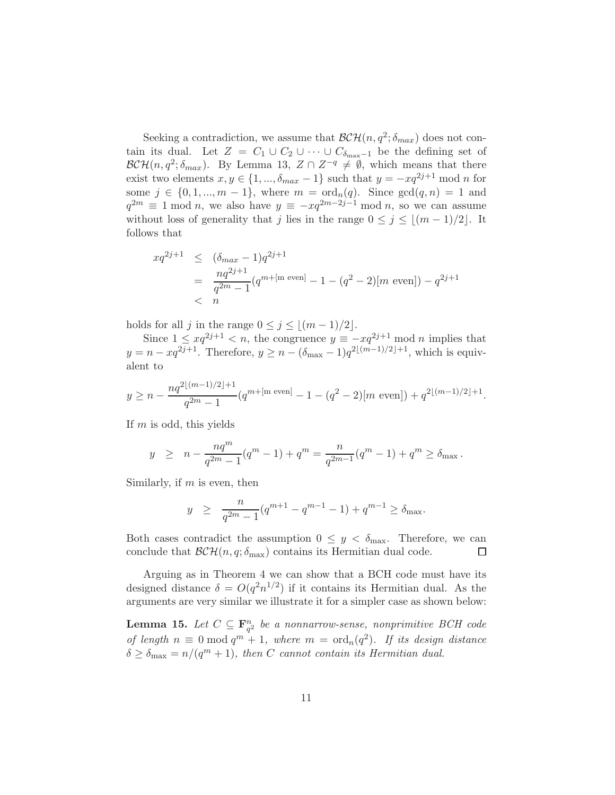Seeking a contradiction, we assume that  $\mathcal{BCH}(n, q^2; \delta_{max})$  does not contain its dual. Let  $Z = C_1 \cup C_2 \cup \cdots \cup C_{\delta_{\text{max}}-1}$  be the defining set of  $\mathcal{BCH}(n, q^2; \delta_{max})$ . By Lemma 13,  $Z \cap Z^{-q} \neq \emptyset$ , which means that there exist two elements  $x, y \in \{1, ..., \delta_{max} - 1\}$  such that  $y = -xq^{2j+1} \mod n$  for some  $j \in \{0, 1, ..., m-1\}$ , where  $m = \text{ord}_n(q)$ . Since  $\gcd(q, n) = 1$  and  $q^{2m} \equiv 1 \mod n$ , we also have  $y \equiv -xq^{2m-2j-1} \mod n$ , so we can assume without loss of generality that j lies in the range  $0 \leq j \leq \lfloor (m-1)/2 \rfloor$ . It follows that

$$
xq^{2j+1} \leq (\delta_{max} - 1)q^{2j+1}
$$
  
= 
$$
\frac{nq^{2j+1}}{q^{2m} - 1} (q^{m + [m \text{ even}]} - 1 - (q^2 - 2)[m \text{ even}]) - q^{2j+1}
$$
  
< n

holds for all j in the range  $0 \le j \le \lfloor (m-1)/2 \rfloor$ .

Since  $1 \le xq^{2j+1} < n$ , the congruence  $y \equiv -xq^{2j+1} \mod n$  implies that  $y = n - xq^{2j+1}$ . Therefore,  $y \ge n - (\delta_{\max} - 1)q^{2\lfloor (m-1)/2 \rfloor + 1}$ , which is equivalent to

$$
y \ge n - \frac{nq^{2\lfloor (m-1)/2 \rfloor + 1}}{q^{2m} - 1} (q^{m + \lfloor m \text{ even} \rfloor} - 1 - (q^2 - 2)[m \text{ even}]) + q^{2\lfloor (m-1)/2 \rfloor + 1}.
$$

If  $m$  is odd, this yields

$$
y \ge n - \frac{nq^m}{q^{2m} - 1}(q^m - 1) + q^m = \frac{n}{q^{2m-1}}(q^m - 1) + q^m \ge \delta_{\max}.
$$

Similarly, if  $m$  is even, then

$$
y \ge \frac{n}{q^{2m}-1}(q^{m+1}-q^{m-1}-1)+q^{m-1} \ge \delta_{\max}.
$$

Both cases contradict the assumption  $0 \leq y < \delta_{\text{max}}$ . Therefore, we can conclude that  $\mathcal{BCH}(n, q; \delta_{\text{max}})$  contains its Hermitian dual code. conclude that  $\mathcal{BCH}(n, q; \delta_{\text{max}})$  contains its Hermitian dual code.

Arguing as in Theorem 4 we can show that a BCH code must have its designed distance  $\delta = O(q^2 n^{1/2})$  if it contains its Hermitian dual. As the arguments are very similar we illustrate it for a simpler case as shown below:

**Lemma 15.** Let  $C \subseteq \mathbf{F}_{q^2}^n$  be a nonnarrow-sense, nonprimitive BCH code of length  $n \equiv 0 \mod q^m + 1$ , where  $m = \text{ord}_n(q^2)$ . If its design distance  $\delta \geq \delta_{\max} = n/(q^m + 1)$ , then C cannot contain its Hermitian dual.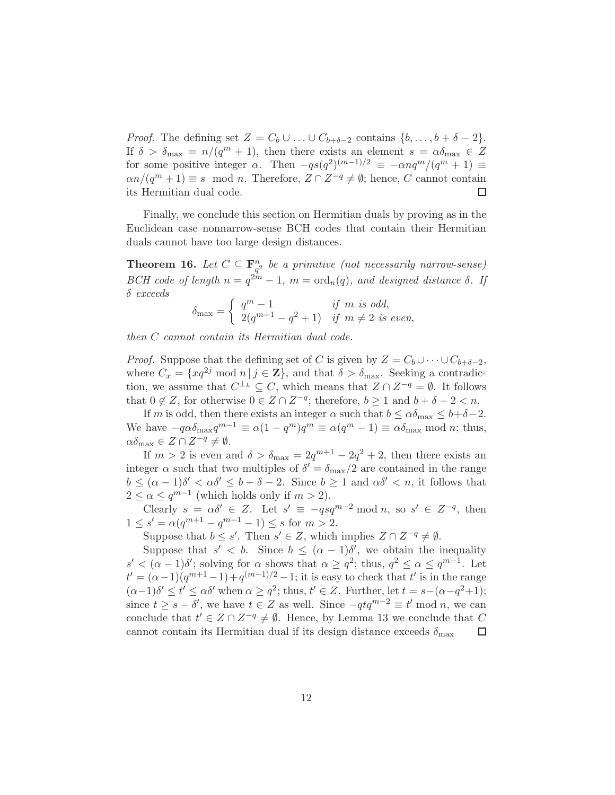*Proof.* The defining set  $Z = C_b \cup ... \cup C_{b+\delta-2}$  contains  $\{b, ..., b+\delta-2\}$ . If  $\delta > \delta_{\max} = n/(q^m + 1)$ , then there exists an element  $s = \alpha \delta_{\max} \in Z$ for some positive integer  $\alpha$ . Then  $-qs(q^2)^{(m-1)/2} \equiv -\alpha nq^m/(q^m+1) \equiv$  $\alpha n/(q^m+1) \equiv s \mod n$ . Therefore,  $Z \cap Z^{-q} \neq \emptyset$ ; hence, C cannot contain its Hermitian dual code.

Finally, we conclude this section on Hermitian duals by proving as in the Euclidean case nonnarrow-sense BCH codes that contain their Hermitian duals cannot have too large design distances.

**Theorem 16.** Let  $C \subseteq \mathbf{F}_{q^2}^n$  be a primitive (not necessarily narrow-sense) BCH code of length  $n = q^{2m} - 1$ ,  $m = \text{ord}_n(q)$ , and designed distance  $\delta$ . If δ exceeds

$$
\delta_{\max} = \begin{cases} q^m - 1 & \text{if } m \text{ is odd,} \\ 2(q^{m+1} - q^2 + 1) & \text{if } m \neq 2 \text{ is even,} \end{cases}
$$

then C cannot contain its Hermitian dual code.

*Proof.* Suppose that the defining set of C is given by  $Z = C_b \cup \cdots \cup C_{b+\delta-2}$ , where  $C_x = \{xq^{2j} \mod n | j \in \mathbb{Z}\}\,$ , and that  $\delta > \delta_{\max}$ . Seeking a contradiction, we assume that  $C^{\perp_h} \subseteq C$ , which means that  $Z \cap Z^{-q} = \emptyset$ . It follows that  $0 \notin Z$ , for otherwise  $0 \in Z \cap Z^{-q}$ ; therefore,  $b \ge 1$  and  $b + \delta - 2 < n$ .

If m is odd, then there exists an integer  $\alpha$  such that  $b \leq \alpha \delta_{\text{max}} \leq b+\delta-2$ . We have  $-q\alpha\delta_{\max}q^{m-1} \equiv \alpha(1-q^m)q^m \equiv \alpha(q^m-1) \equiv \alpha\delta_{\max} \mod n$ ; thus,  $\alpha\delta_{\max} \in Z \cap Z^{-q} \neq \emptyset.$ 

If  $m > 2$  is even and  $\delta > \delta_{\max} = 2q^{m+1} - 2q^2 + 2$ , then there exists an integer  $\alpha$  such that two multiples of  $\delta' = \delta_{\text{max}}/2$  are contained in the range  $b \leq (\alpha - 1)\delta' < \alpha \delta' \leq b + \delta - 2$ . Since  $b \geq 1$  and  $\alpha \delta' < n$ , it follows that  $2 \leq \alpha \leq q^{m-1}$  (which holds only if  $m > 2$ ).

Clearly  $s = \alpha \delta' \in Z$ . Let  $s' \equiv -qsq^{m-2} \mod n$ , so  $s' \in Z^{-q}$ , then  $1 \le s' = \alpha(q^{m+1} - q^{m-1} - 1) \le s$  for  $m > 2$ .

Suppose that  $b \leq s'$ . Then  $s' \in Z$ , which implies  $Z \cap Z^{-q} \neq \emptyset$ .

Suppose that  $s' < b$ . Since  $b \leq (\alpha - 1)\delta'$ , we obtain the inequality  $s' < (\alpha - 1)\delta'$ ; solving for  $\alpha$  shows that  $\alpha \geq q^2$ ; thus,  $q^2 \leq \alpha \leq q^{m-1}$ . Let  $t' = (\alpha - 1)(q^{m+1} - 1) + q^{(m-1)/2} - 1$ ; it is easy to check that t' is in the range  $(\alpha-1)\delta' \leq t' \leq \alpha\delta'$  when  $\alpha \geq q^2$ ; thus,  $t' \in \mathbb{Z}$ . Further, let  $t = s-(\alpha-q^2+1)$ ; since  $t \geq s - \delta'$ , we have  $t \in Z$  as well. Since  $-qtq^{m-2} \equiv t' \mod n$ , we can conclude that  $t' \in Z \cap Z^{-q} \neq \emptyset$ . Hence, by Lemma 13 we conclude that C cannot contain its Hermitian dual if its design distance exceeds  $\delta_{\text{max}}$  $\Box$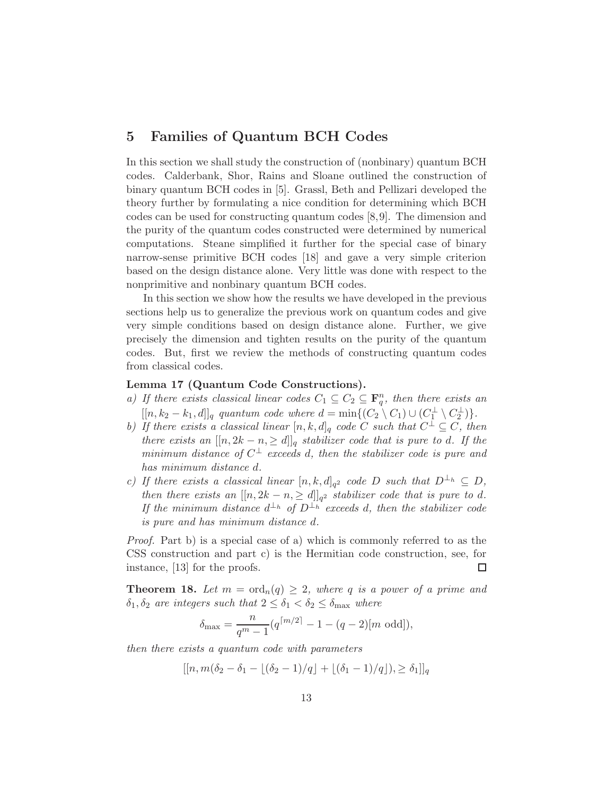## 5 Families of Quantum BCH Codes

In this section we shall study the construction of (nonbinary) quantum BCH codes. Calderbank, Shor, Rains and Sloane outlined the construction of binary quantum BCH codes in [5]. Grassl, Beth and Pellizari developed the theory further by formulating a nice condition for determining which BCH codes can be used for constructing quantum codes [8,9]. The dimension and the purity of the quantum codes constructed were determined by numerical computations. Steane simplified it further for the special case of binary narrow-sense primitive BCH codes [18] and gave a very simple criterion based on the design distance alone. Very little was done with respect to the nonprimitive and nonbinary quantum BCH codes.

In this section we show how the results we have developed in the previous sections help us to generalize the previous work on quantum codes and give very simple conditions based on design distance alone. Further, we give precisely the dimension and tighten results on the purity of the quantum codes. But, first we review the methods of constructing quantum codes from classical codes.

#### Lemma 17 (Quantum Code Constructions).

- a) If there exists classical linear codes  $C_1 \subseteq C_2 \subseteq \mathbf{F}_q^n$ , then there exists an  $[[n, k_2 - k_1, d]]_q$  quantum code where  $d = \min\{(C_2 \setminus C_1) \cup (C_1^{\perp} \setminus C_2^{\perp})\}.$
- b) If there exists a classical linear  $[n, k, d]_q$  code C such that  $C^{\perp} \subseteq C$ , then there exists an  $[[n, 2k - n, \ge d]]_q$  stabilizer code that is pure to d. If the minimum distance of  $C^{\perp}$  exceeds d, then the stabilizer code is pure and has minimum distance d.
- c) If there exists a classical linear  $[n, k, d]_{q^2}$  code D such that  $D^{\perp_h} \subseteq D$ , then there exists an  $[[n, 2k - n, \ge d]]_{q^2}$  stabilizer code that is pure to d. If the minimum distance  $d^{\perp_h}$  of  $D^{\perp_h}$  exceeds d, then the stabilizer code is pure and has minimum distance d.

Proof. Part b) is a special case of a) which is commonly referred to as the CSS construction and part c) is the Hermitian code construction, see, for instance, [13] for the proofs.  $\Box$ 

**Theorem 18.** Let  $m = \text{ord}_n(q) \geq 2$ , where q is a power of a prime and  $\delta_1, \delta_2$  are integers such that  $2 \leq \delta_1 < \delta_2 \leq \delta_{\max}$  where

$$
\delta_{\max} = \frac{n}{q^m - 1} (q^{\lceil m/2 \rceil} - 1 - (q - 2)[m \text{ odd}]),
$$

then there exists a quantum code with parameters

$$
[[n, m(\delta_2 - \delta_1 - \lfloor (\delta_2 - 1)/q \rfloor + \lfloor (\delta_1 - 1)/q \rfloor), \ge \delta_1]]_q
$$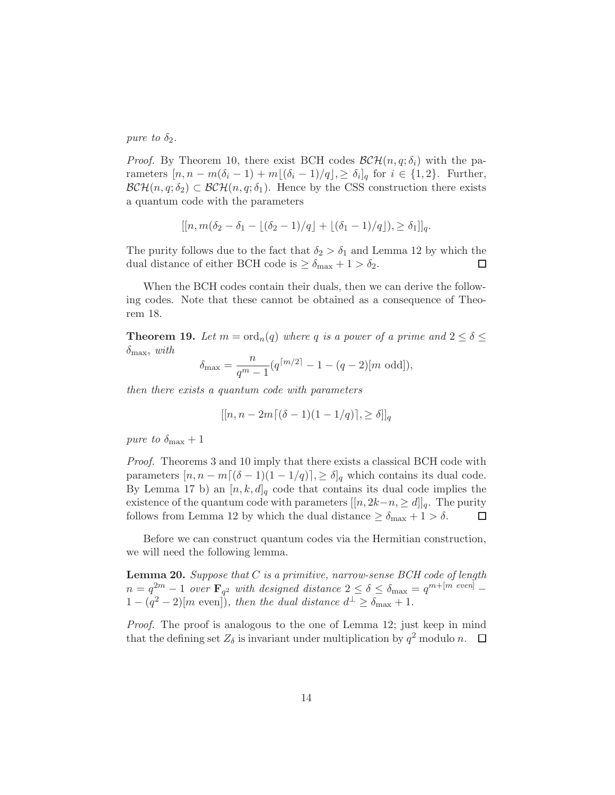pure to  $\delta_2$ .

*Proof.* By Theorem 10, there exist BCH codes  $\mathcal{BCH}(n, q; \delta_i)$  with the parameters  $[n, n - m(\delta_i - 1) + m[(\delta_i - 1)/q], \ge \delta_i]_q$  for  $i \in \{1, 2\}$ . Further,  $\mathcal{BCH}(n, q; \delta_2) \subset \mathcal{BCH}(n, q; \delta_1)$ . Hence by the CSS construction there exists a quantum code with the parameters

$$
[[n, m(\delta_2 - \delta_1 - \lfloor (\delta_2 - 1)/q \rfloor + \lfloor (\delta_1 - 1)/q \rfloor), \ge \delta_1]]_q.
$$

The purity follows due to the fact that  $\delta_2 > \delta_1$  and Lemma 12 by which the dual distance of either BCH code is  $\geq \delta_{\text{max}} + 1 > \delta_2$ .  $\Box$ 

When the BCH codes contain their duals, then we can derive the following codes. Note that these cannot be obtained as a consequence of Theorem 18.

**Theorem 19.** Let  $m = \text{ord}_n(q)$  where q is a power of a prime and  $2 \le \delta \le$  $\delta_{\text{max}}$ , with

$$
\delta_{\max} = \frac{n}{q^m - 1} (q^{\lceil m/2 \rceil} - 1 - (q - 2)[m \text{ odd}]),
$$

then there exists a quantum code with parameters

$$
[[n, n - 2m\lceil (\delta - 1)(1 - 1/q) \rceil, \ge \delta]]_q
$$

pure to  $\delta_{\text{max}} + 1$ 

Proof. Theorems 3 and 10 imply that there exists a classical BCH code with parameters  $[n, n - m[(\delta - 1)(1 - 1/q)], \geq \delta]_q$  which contains its dual code. By Lemma 17 b) an  $[n, k, d]_q$  code that contains its dual code implies the existence of the quantum code with parameters  $[[n, 2k-n, \geq d]]_q$ . The purity follows from Lemma 12 by which the dual distance  $\geq \delta_{\text{max}} + 1 > \delta$ . follows from Lemma 12 by which the dual distance  $\geq \delta_{\text{max}} + 1 > \delta$ .

Before we can construct quantum codes via the Hermitian construction, we will need the following lemma.

**Lemma 20.** Suppose that  $C$  is a primitive, narrow-sense  $BCH$  code of length  $n = q^{2m} - 1$  over  $\mathbf{F}_{q^2}$  with designed distance  $2 \le \delta \le \delta_{\max} = q^{m + [m \text{ even}]}$  $1-(q^2-2)[m \text{ even}])$ , then the dual distance  $d^{\perp} \geq \delta_{\text{max}} + 1$ .

Proof. The proof is analogous to the one of Lemma 12; just keep in mind that the defining set  $Z_{\delta}$  is invariant under multiplication by  $q^2$  modulo n.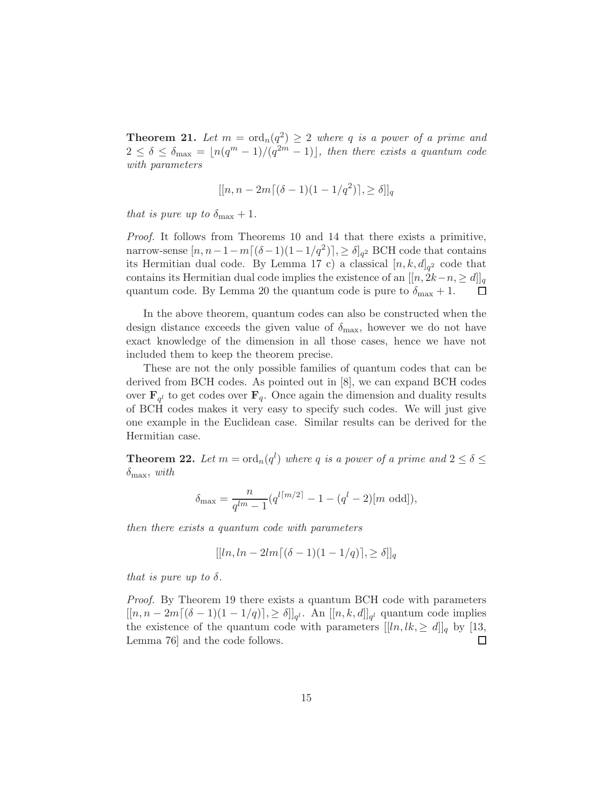**Theorem 21.** Let  $m = \text{ord}_n(q^2) \geq 2$  where q is a power of a prime and  $2 \leq \delta \leq \delta_{\max} = \lfloor n(q^m-1)/(q^{2m}-1) \rfloor$ , then there exists a quantum code with parameters

$$
[[n, n - 2m[(\delta - 1)(1 - 1/q^2)], \ge \delta]]_q
$$

that is pure up to  $\delta_{\text{max}} + 1$ .

Proof. It follows from Theorems 10 and 14 that there exists a primitive, narrow-sense  $[n, n-1-m\lceil(\delta-1)(1-1/q^2)\rceil]$ , ≥  $\delta]_{q^2}$  BCH code that contains its Hermitian dual code. By Lemma 17 c) a classical  $[n, k, d]_{q^2}$  code that contains its Hermitian dual code implies the existence of an  $[[n, 2k-n, \geq d]]_q$ <br>quantum code. By Lemma 20 the quantum code is pure to  $\delta_{\text{max}} + 1$ . quantum code. By Lemma 20 the quantum code is pure to  $\delta_{\text{max}} + 1$ .

In the above theorem, quantum codes can also be constructed when the design distance exceeds the given value of  $\delta_{\text{max}}$ , however we do not have exact knowledge of the dimension in all those cases, hence we have not included them to keep the theorem precise.

These are not the only possible families of quantum codes that can be derived from BCH codes. As pointed out in [8], we can expand BCH codes over  $\mathbf{F}_{q}$  to get codes over  $\mathbf{F}_{q}$ . Once again the dimension and duality results of BCH codes makes it very easy to specify such codes. We will just give one example in the Euclidean case. Similar results can be derived for the Hermitian case.

**Theorem 22.** Let  $m = \text{ord}_n(q^l)$  where q is a power of a prime and  $2 \le \delta \le$  $\delta_{\text{max}}$ , with

$$
\delta_{\max} = \frac{n}{q^{lm} - 1} (q^{l \lceil m/2 \rceil} - 1 - (q^l - 2) [m \text{ odd}]),
$$

then there exists a quantum code with parameters

$$
[[ln, ln - 2lm[(\delta - 1)(1 - 1/q)], \ge \delta]]_q
$$

that is pure up to  $\delta$ .

Proof. By Theorem 19 there exists a quantum BCH code with parameters  $[[n, n-2m[(\delta-1)(1-1/q)], \geq \delta]]_{q^l}$ . An  $[[n, k, d]]_{q^l}$  quantum code implies the existence of the quantum code with parameters  $[[ln, lk, \ge d]]_q$  by [13, Lemma 76] and the code follows. Lemma 76] and the code follows.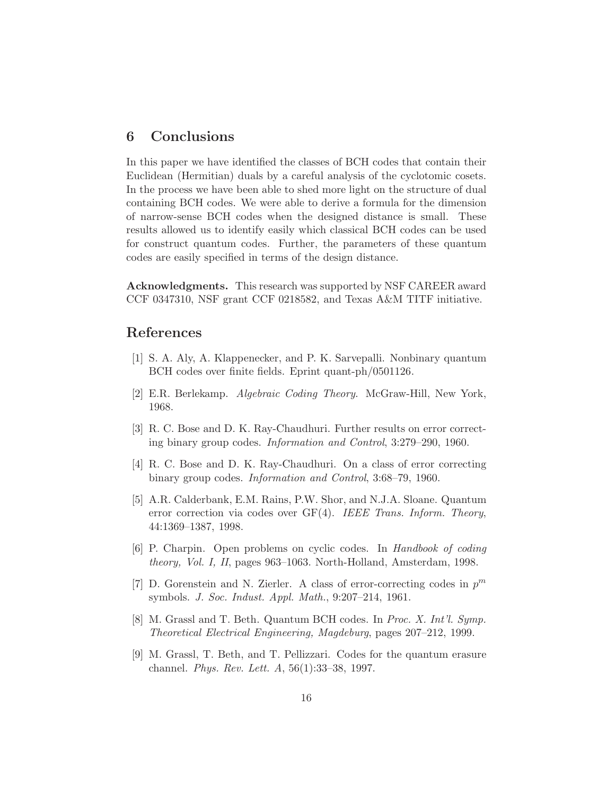#### 6 Conclusions

In this paper we have identified the classes of BCH codes that contain their Euclidean (Hermitian) duals by a careful analysis of the cyclotomic cosets. In the process we have been able to shed more light on the structure of dual containing BCH codes. We were able to derive a formula for the dimension of narrow-sense BCH codes when the designed distance is small. These results allowed us to identify easily which classical BCH codes can be used for construct quantum codes. Further, the parameters of these quantum codes are easily specified in terms of the design distance.

Acknowledgments. This research was supported by NSF CAREER award CCF 0347310, NSF grant CCF 0218582, and Texas A&M TITF initiative.

#### References

- [1] S. A. Aly, A. Klappenecker, and P. K. Sarvepalli. Nonbinary quantum BCH codes over finite fields. Eprint quant-ph/0501126.
- [2] E.R. Berlekamp. Algebraic Coding Theory. McGraw-Hill, New York, 1968.
- [3] R. C. Bose and D. K. Ray-Chaudhuri. Further results on error correcting binary group codes. Information and Control, 3:279–290, 1960.
- [4] R. C. Bose and D. K. Ray-Chaudhuri. On a class of error correcting binary group codes. Information and Control, 3:68–79, 1960.
- [5] A.R. Calderbank, E.M. Rains, P.W. Shor, and N.J.A. Sloane. Quantum error correction via codes over GF(4). IEEE Trans. Inform. Theory, 44:1369–1387, 1998.
- [6] P. Charpin. Open problems on cyclic codes. In Handbook of coding theory, Vol. I, II, pages 963–1063. North-Holland, Amsterdam, 1998.
- [7] D. Gorenstein and N. Zierler. A class of error-correcting codes in  $p^m$ symbols. J. Soc. Indust. Appl. Math., 9:207–214, 1961.
- [8] M. Grassl and T. Beth. Quantum BCH codes. In Proc. X. Int'l. Symp. Theoretical Electrical Engineering, Magdeburg, pages 207–212, 1999.
- [9] M. Grassl, T. Beth, and T. Pellizzari. Codes for the quantum erasure channel. Phys. Rev. Lett. A, 56(1):33–38, 1997.